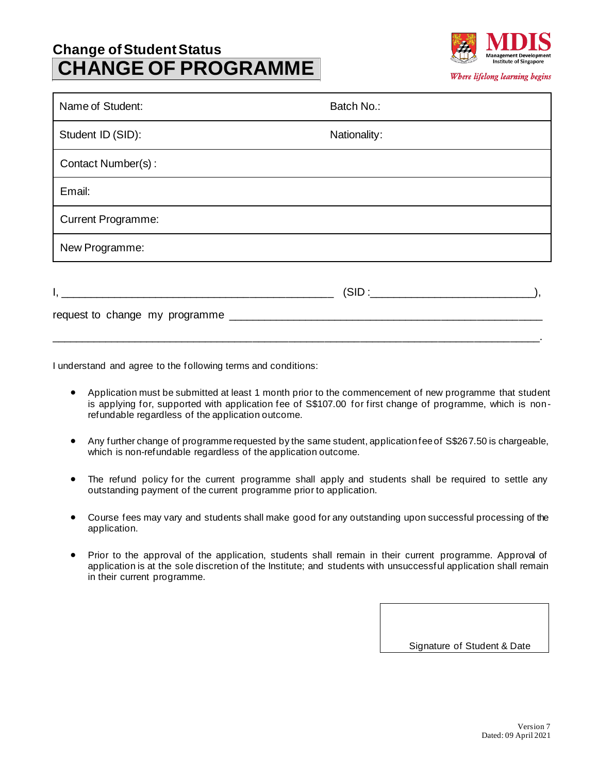## **Change of Student Status CHANGE OF PROGRAMME**



| Name of Student:          | Batch No.:   |
|---------------------------|--------------|
| Student ID (SID):         | Nationality: |
| Contact Number(s):        |              |
| Email:                    |              |
| <b>Current Programme:</b> |              |
| New Programme:            |              |
|                           |              |
|                           |              |

I understand and agree to the following terms and conditions:

• Application must be submitted at least 1 month prior to the commencement of new programme that student is applying for, supported with application fee of S\$107.00 for first change of programme, which is nonrefundable regardless of the application outcome.

\_\_\_\_\_\_\_\_\_\_\_\_\_\_\_\_\_\_\_\_\_\_\_\_\_\_\_\_\_\_\_\_\_\_\_\_\_\_\_\_\_\_\_\_\_\_\_\_\_\_\_\_\_\_\_\_\_\_\_\_\_\_\_\_\_\_\_\_\_\_\_\_\_\_\_\_\_\_\_\_\_\_.

- Any further change of programme requested by the same student, application fee of S\$267.50 is chargeable, which is non-refundable regardless of the application outcome.
- The refund policy for the current programme shall apply and students shall be required to settle any outstanding payment of the current programme prior to application.
- Course fees may vary and students shall make good for any outstanding upon successful processing of the application.
- Prior to the approval of the application, students shall remain in their current programme. Approval of application is at the sole discretion of the Institute; and students with unsuccessful application shall remain in their current programme.

Signature of Student & Date